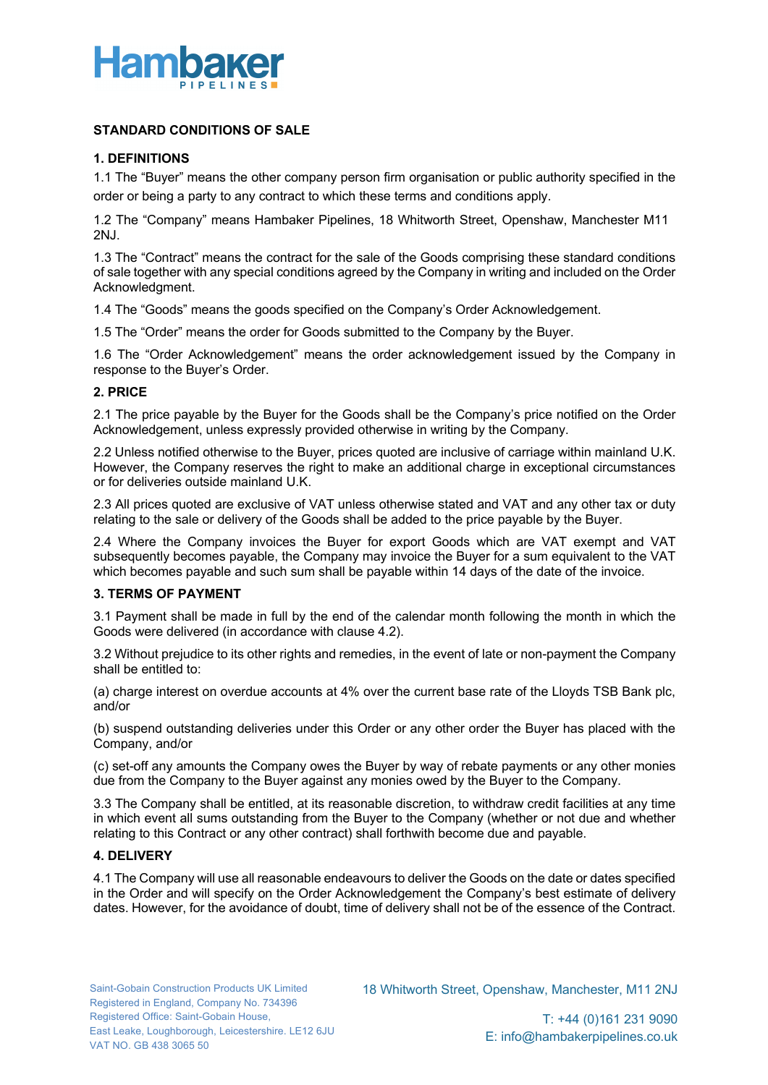

# **STANDARD CONDITIONS OF SALE**

# **1. DEFINITIONS**

1.1 The "Buyer" means the other company person firm organisation or public authority specified in the order or being a party to any contract to which these terms and conditions apply.

1.2 The "Company" means Hambaker Pipelines, 18 Whitworth Street, Openshaw, Manchester M11 2NJ.

1.3 The "Contract" means the contract for the sale of the Goods comprising these standard conditions of sale together with any special conditions agreed by the Company in writing and included on the Order Acknowledgment.

1.4 The "Goods" means the goods specified on the Company's Order Acknowledgement.

1.5 The "Order" means the order for Goods submitted to the Company by the Buyer.

1.6 The "Order Acknowledgement" means the order acknowledgement issued by the Company in response to the Buyer's Order.

## **2. PRICE**

2.1 The price payable by the Buyer for the Goods shall be the Company's price notified on the Order Acknowledgement, unless expressly provided otherwise in writing by the Company.

2.2 Unless notified otherwise to the Buyer, prices quoted are inclusive of carriage within mainland U.K. However, the Company reserves the right to make an additional charge in exceptional circumstances or for deliveries outside mainland U.K.

2.3 All prices quoted are exclusive of VAT unless otherwise stated and VAT and any other tax or duty relating to the sale or delivery of the Goods shall be added to the price payable by the Buyer.

2.4 Where the Company invoices the Buyer for export Goods which are VAT exempt and VAT subsequently becomes payable, the Company may invoice the Buyer for a sum equivalent to the VAT which becomes payable and such sum shall be payable within 14 days of the date of the invoice.

### **3. TERMS OF PAYMENT**

3.1 Payment shall be made in full by the end of the calendar month following the month in which the Goods were delivered (in accordance with clause 4.2).

3.2 Without prejudice to its other rights and remedies, in the event of late or non-payment the Company shall be entitled to:

(a) charge interest on overdue accounts at 4% over the current base rate of the Lloyds TSB Bank plc, and/or

(b) suspend outstanding deliveries under this Order or any other order the Buyer has placed with the Company, and/or

(c) set-off any amounts the Company owes the Buyer by way of rebate payments or any other monies due from the Company to the Buyer against any monies owed by the Buyer to the Company.

3.3 The Company shall be entitled, at its reasonable discretion, to withdraw credit facilities at any time in which event all sums outstanding from the Buyer to the Company (whether or not due and whether relating to this Contract or any other contract) shall forthwith become due and payable.

## **4. DELIVERY**

4.1 The Company will use all reasonable endeavours to deliver the Goods on the date or dates specified in the Order and will specify on the Order Acknowledgement the Company's best estimate of delivery dates. However, for the avoidance of doubt, time of delivery shall not be of the essence of the Contract.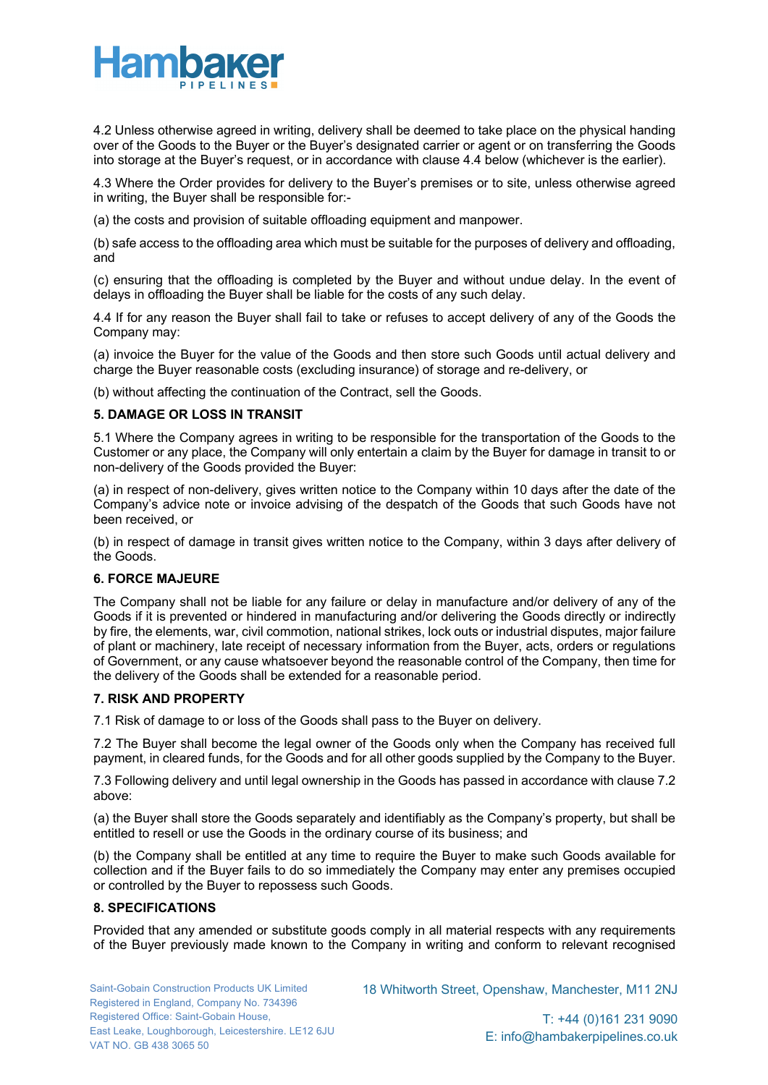

4.2 Unless otherwise agreed in writing, delivery shall be deemed to take place on the physical handing over of the Goods to the Buyer or the Buyer's designated carrier or agent or on transferring the Goods into storage at the Buyer's request, or in accordance with clause 4.4 below (whichever is the earlier).

4.3 Where the Order provides for delivery to the Buyer's premises or to site, unless otherwise agreed in writing, the Buyer shall be responsible for:-

(a) the costs and provision of suitable offloading equipment and manpower.

(b) safe access to the offloading area which must be suitable for the purposes of delivery and offloading, and

(c) ensuring that the offloading is completed by the Buyer and without undue delay. In the event of delays in offloading the Buyer shall be liable for the costs of any such delay.

4.4 If for any reason the Buyer shall fail to take or refuses to accept delivery of any of the Goods the Company may:

(a) invoice the Buyer for the value of the Goods and then store such Goods until actual delivery and charge the Buyer reasonable costs (excluding insurance) of storage and re-delivery, or

(b) without affecting the continuation of the Contract, sell the Goods.

## **5. DAMAGE OR LOSS IN TRANSIT**

5.1 Where the Company agrees in writing to be responsible for the transportation of the Goods to the Customer or any place, the Company will only entertain a claim by the Buyer for damage in transit to or non-delivery of the Goods provided the Buyer:

(a) in respect of non-delivery, gives written notice to the Company within 10 days after the date of the Company's advice note or invoice advising of the despatch of the Goods that such Goods have not been received, or

(b) in respect of damage in transit gives written notice to the Company, within 3 days after delivery of the Goods.

### **6. FORCE MAJEURE**

The Company shall not be liable for any failure or delay in manufacture and/or delivery of any of the Goods if it is prevented or hindered in manufacturing and/or delivering the Goods directly or indirectly by fire, the elements, war, civil commotion, national strikes, lock outs or industrial disputes, major failure of plant or machinery, late receipt of necessary information from the Buyer, acts, orders or regulations of Government, or any cause whatsoever beyond the reasonable control of the Company, then time for the delivery of the Goods shall be extended for a reasonable period.

## **7. RISK AND PROPERTY**

7.1 Risk of damage to or loss of the Goods shall pass to the Buyer on delivery.

7.2 The Buyer shall become the legal owner of the Goods only when the Company has received full payment, in cleared funds, for the Goods and for all other goods supplied by the Company to the Buyer.

7.3 Following delivery and until legal ownership in the Goods has passed in accordance with clause 7.2 above:

(a) the Buyer shall store the Goods separately and identifiably as the Company's property, but shall be entitled to resell or use the Goods in the ordinary course of its business; and

(b) the Company shall be entitled at any time to require the Buyer to make such Goods available for collection and if the Buyer fails to do so immediately the Company may enter any premises occupied or controlled by the Buyer to repossess such Goods.

## **8. SPECIFICATIONS**

Provided that any amended or substitute goods comply in all material respects with any requirements of the Buyer previously made known to the Company in writing and conform to relevant recognised

18 Whitworth Street, Openshaw, Manchester, M11 2NJ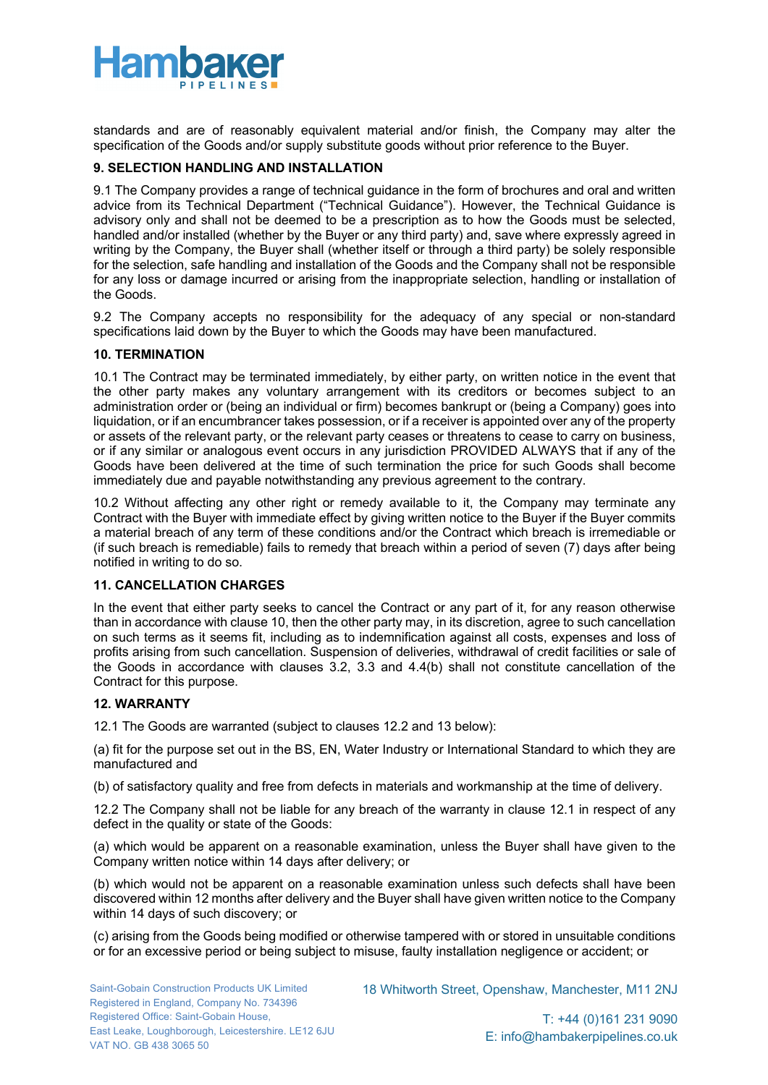

standards and are of reasonably equivalent material and/or finish, the Company may alter the specification of the Goods and/or supply substitute goods without prior reference to the Buyer.

## **9. SELECTION HANDLING AND INSTALLATION**

9.1 The Company provides a range of technical guidance in the form of brochures and oral and written advice from its Technical Department ("Technical Guidance"). However, the Technical Guidance is advisory only and shall not be deemed to be a prescription as to how the Goods must be selected, handled and/or installed (whether by the Buyer or any third party) and, save where expressly agreed in writing by the Company, the Buyer shall (whether itself or through a third party) be solely responsible for the selection, safe handling and installation of the Goods and the Company shall not be responsible for any loss or damage incurred or arising from the inappropriate selection, handling or installation of the Goods.

9.2 The Company accepts no responsibility for the adequacy of any special or non-standard specifications laid down by the Buyer to which the Goods may have been manufactured.

### **10. TERMINATION**

10.1 The Contract may be terminated immediately, by either party, on written notice in the event that the other party makes any voluntary arrangement with its creditors or becomes subject to an administration order or (being an individual or firm) becomes bankrupt or (being a Company) goes into liquidation, or if an encumbrancer takes possession, or if a receiver is appointed over any of the property or assets of the relevant party, or the relevant party ceases or threatens to cease to carry on business, or if any similar or analogous event occurs in any jurisdiction PROVIDED ALWAYS that if any of the Goods have been delivered at the time of such termination the price for such Goods shall become immediately due and payable notwithstanding any previous agreement to the contrary.

10.2 Without affecting any other right or remedy available to it, the Company may terminate any Contract with the Buyer with immediate effect by giving written notice to the Buyer if the Buyer commits a material breach of any term of these conditions and/or the Contract which breach is irremediable or (if such breach is remediable) fails to remedy that breach within a period of seven (7) days after being notified in writing to do so.

# **11. CANCELLATION CHARGES**

In the event that either party seeks to cancel the Contract or any part of it, for any reason otherwise than in accordance with clause 10, then the other party may, in its discretion, agree to such cancellation on such terms as it seems fit, including as to indemnification against all costs, expenses and loss of profits arising from such cancellation. Suspension of deliveries, withdrawal of credit facilities or sale of the Goods in accordance with clauses 3.2, 3.3 and 4.4(b) shall not constitute cancellation of the Contract for this purpose.

## **12. WARRANTY**

12.1 The Goods are warranted (subject to clauses 12.2 and 13 below):

(a) fit for the purpose set out in the BS, EN, Water Industry or International Standard to which they are manufactured and

(b) of satisfactory quality and free from defects in materials and workmanship at the time of delivery.

12.2 The Company shall not be liable for any breach of the warranty in clause 12.1 in respect of any defect in the quality or state of the Goods:

(a) which would be apparent on a reasonable examination, unless the Buyer shall have given to the Company written notice within 14 days after delivery; or

(b) which would not be apparent on a reasonable examination unless such defects shall have been discovered within 12 months after delivery and the Buyer shall have given written notice to the Company within 14 days of such discovery; or

(c) arising from the Goods being modified or otherwise tampered with or stored in unsuitable conditions or for an excessive period or being subject to misuse, faulty installation negligence or accident; or

18 Whitworth Street, Openshaw, Manchester, M11 2NJ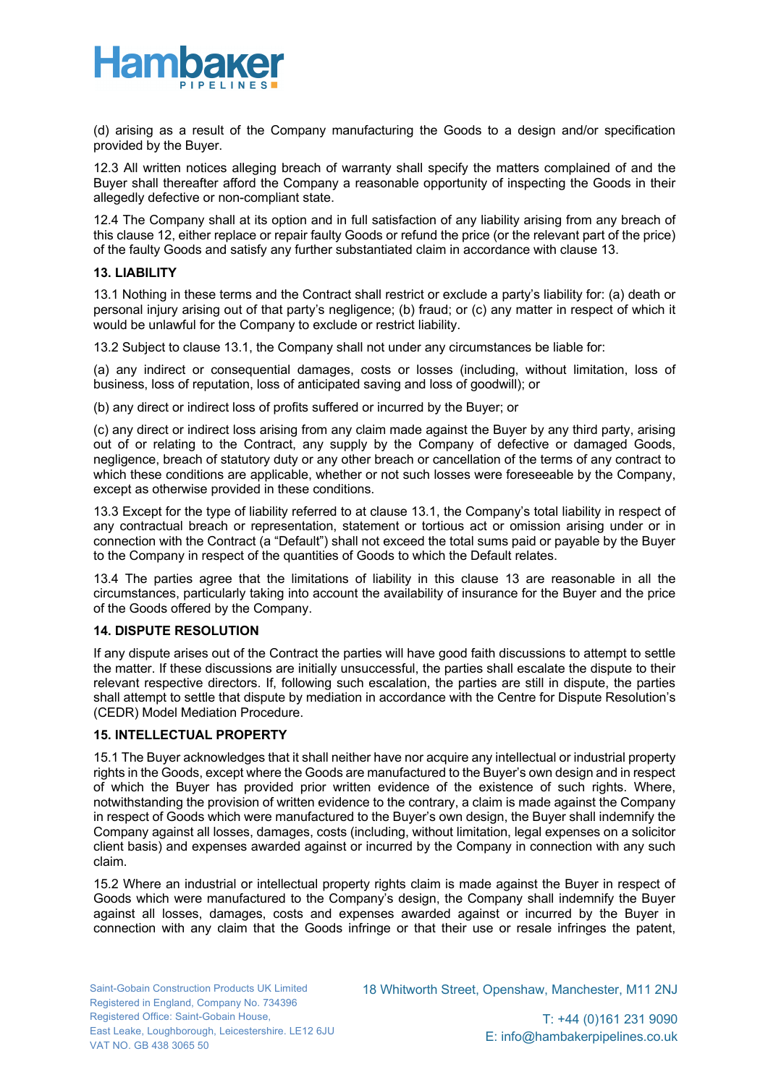

(d) arising as a result of the Company manufacturing the Goods to a design and/or specification provided by the Buyer.

12.3 All written notices alleging breach of warranty shall specify the matters complained of and the Buyer shall thereafter afford the Company a reasonable opportunity of inspecting the Goods in their allegedly defective or non-compliant state.

12.4 The Company shall at its option and in full satisfaction of any liability arising from any breach of this clause 12, either replace or repair faulty Goods or refund the price (or the relevant part of the price) of the faulty Goods and satisfy any further substantiated claim in accordance with clause 13.

### **13. LIABILITY**

13.1 Nothing in these terms and the Contract shall restrict or exclude a party's liability for: (a) death or personal injury arising out of that party's negligence; (b) fraud; or (c) any matter in respect of which it would be unlawful for the Company to exclude or restrict liability.

13.2 Subject to clause 13.1, the Company shall not under any circumstances be liable for:

(a) any indirect or consequential damages, costs or losses (including, without limitation, loss of business, loss of reputation, loss of anticipated saving and loss of goodwill); or

(b) any direct or indirect loss of profits suffered or incurred by the Buyer; or

(c) any direct or indirect loss arising from any claim made against the Buyer by any third party, arising out of or relating to the Contract, any supply by the Company of defective or damaged Goods, negligence, breach of statutory duty or any other breach or cancellation of the terms of any contract to which these conditions are applicable, whether or not such losses were foreseeable by the Company, except as otherwise provided in these conditions.

13.3 Except for the type of liability referred to at clause 13.1, the Company's total liability in respect of any contractual breach or representation, statement or tortious act or omission arising under or in connection with the Contract (a "Default") shall not exceed the total sums paid or payable by the Buyer to the Company in respect of the quantities of Goods to which the Default relates.

13.4 The parties agree that the limitations of liability in this clause 13 are reasonable in all the circumstances, particularly taking into account the availability of insurance for the Buyer and the price of the Goods offered by the Company.

### **14. DISPUTE RESOLUTION**

If any dispute arises out of the Contract the parties will have good faith discussions to attempt to settle the matter. If these discussions are initially unsuccessful, the parties shall escalate the dispute to their relevant respective directors. If, following such escalation, the parties are still in dispute, the parties shall attempt to settle that dispute by mediation in accordance with the Centre for Dispute Resolution's (CEDR) Model Mediation Procedure.

### **15. INTELLECTUAL PROPERTY**

15.1 The Buyer acknowledges that it shall neither have nor acquire any intellectual or industrial property rights in the Goods, except where the Goods are manufactured to the Buyer's own design and in respect of which the Buyer has provided prior written evidence of the existence of such rights. Where, notwithstanding the provision of written evidence to the contrary, a claim is made against the Company in respect of Goods which were manufactured to the Buyer's own design, the Buyer shall indemnify the Company against all losses, damages, costs (including, without limitation, legal expenses on a solicitor client basis) and expenses awarded against or incurred by the Company in connection with any such claim.

15.2 Where an industrial or intellectual property rights claim is made against the Buyer in respect of Goods which were manufactured to the Company's design, the Company shall indemnify the Buyer against all losses, damages, costs and expenses awarded against or incurred by the Buyer in connection with any claim that the Goods infringe or that their use or resale infringes the patent,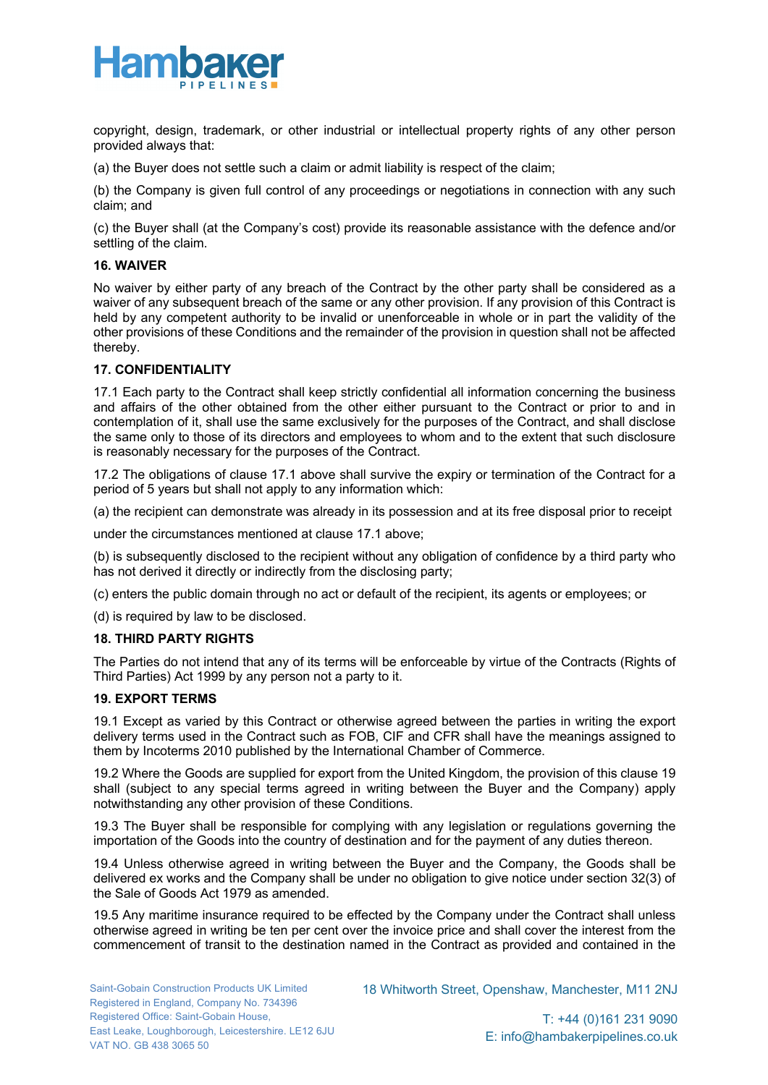

copyright, design, trademark, or other industrial or intellectual property rights of any other person provided always that:

(a) the Buyer does not settle such a claim or admit liability is respect of the claim;

(b) the Company is given full control of any proceedings or negotiations in connection with any such claim; and

(c) the Buyer shall (at the Company's cost) provide its reasonable assistance with the defence and/or settling of the claim.

## **16. WAIVER**

No waiver by either party of any breach of the Contract by the other party shall be considered as a waiver of any subsequent breach of the same or any other provision. If any provision of this Contract is held by any competent authority to be invalid or unenforceable in whole or in part the validity of the other provisions of these Conditions and the remainder of the provision in question shall not be affected thereby.

## **17. CONFIDENTIALITY**

17.1 Each party to the Contract shall keep strictly confidential all information concerning the business and affairs of the other obtained from the other either pursuant to the Contract or prior to and in contemplation of it, shall use the same exclusively for the purposes of the Contract, and shall disclose the same only to those of its directors and employees to whom and to the extent that such disclosure is reasonably necessary for the purposes of the Contract.

17.2 The obligations of clause 17.1 above shall survive the expiry or termination of the Contract for a period of 5 years but shall not apply to any information which:

(a) the recipient can demonstrate was already in its possession and at its free disposal prior to receipt

under the circumstances mentioned at clause 17.1 above;

(b) is subsequently disclosed to the recipient without any obligation of confidence by a third party who has not derived it directly or indirectly from the disclosing party;

(c) enters the public domain through no act or default of the recipient, its agents or employees; or

(d) is required by law to be disclosed.

### **18. THIRD PARTY RIGHTS**

The Parties do not intend that any of its terms will be enforceable by virtue of the Contracts (Rights of Third Parties) Act 1999 by any person not a party to it.

# **19. EXPORT TERMS**

19.1 Except as varied by this Contract or otherwise agreed between the parties in writing the export delivery terms used in the Contract such as FOB, CIF and CFR shall have the meanings assigned to them by Incoterms 2010 published by the International Chamber of Commerce.

19.2 Where the Goods are supplied for export from the United Kingdom, the provision of this clause 19 shall (subject to any special terms agreed in writing between the Buyer and the Company) apply notwithstanding any other provision of these Conditions.

19.3 The Buyer shall be responsible for complying with any legislation or regulations governing the importation of the Goods into the country of destination and for the payment of any duties thereon.

19.4 Unless otherwise agreed in writing between the Buyer and the Company, the Goods shall be delivered ex works and the Company shall be under no obligation to give notice under section 32(3) of the Sale of Goods Act 1979 as amended.

19.5 Any maritime insurance required to be effected by the Company under the Contract shall unless otherwise agreed in writing be ten per cent over the invoice price and shall cover the interest from the commencement of transit to the destination named in the Contract as provided and contained in the

18 Whitworth Street, Openshaw, Manchester, M11 2NJ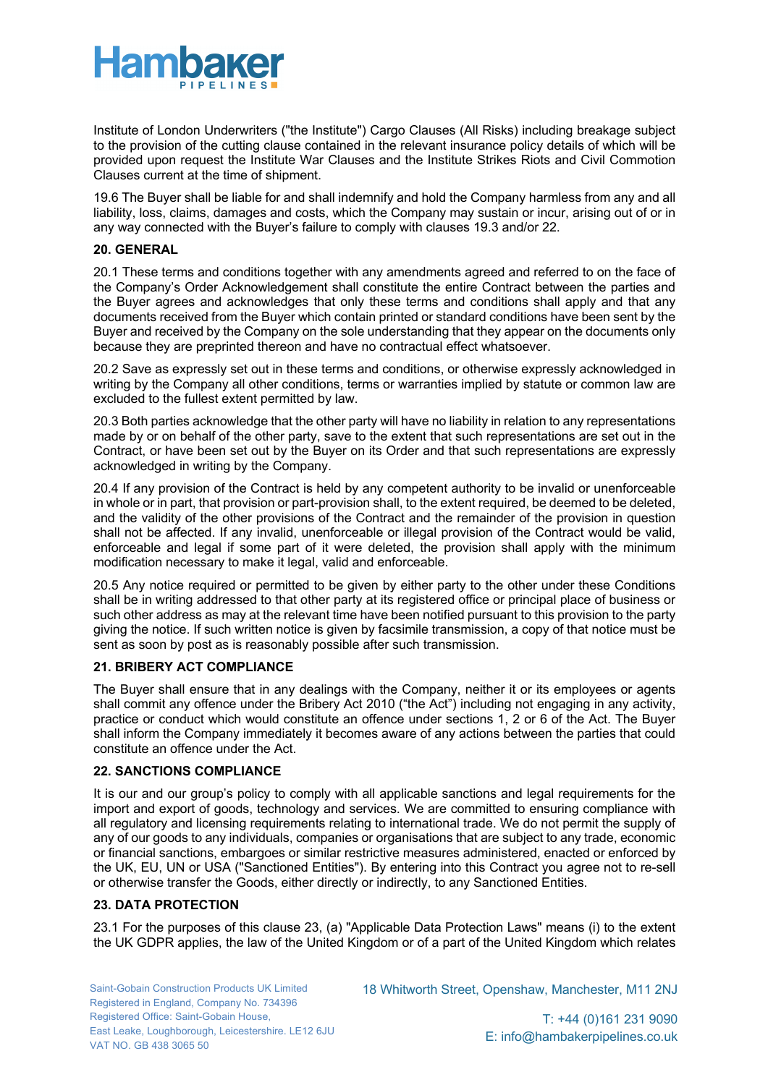

Institute of London Underwriters ("the Institute") Cargo Clauses (All Risks) including breakage subject to the provision of the cutting clause contained in the relevant insurance policy details of which will be provided upon request the Institute War Clauses and the Institute Strikes Riots and Civil Commotion Clauses current at the time of shipment.

19.6 The Buyer shall be liable for and shall indemnify and hold the Company harmless from any and all liability, loss, claims, damages and costs, which the Company may sustain or incur, arising out of or in any way connected with the Buyer's failure to comply with clauses 19.3 and/or 22.

# **20. GENERAL**

20.1 These terms and conditions together with any amendments agreed and referred to on the face of the Company's Order Acknowledgement shall constitute the entire Contract between the parties and the Buyer agrees and acknowledges that only these terms and conditions shall apply and that any documents received from the Buyer which contain printed or standard conditions have been sent by the Buyer and received by the Company on the sole understanding that they appear on the documents only because they are preprinted thereon and have no contractual effect whatsoever.

20.2 Save as expressly set out in these terms and conditions, or otherwise expressly acknowledged in writing by the Company all other conditions, terms or warranties implied by statute or common law are excluded to the fullest extent permitted by law.

20.3 Both parties acknowledge that the other party will have no liability in relation to any representations made by or on behalf of the other party, save to the extent that such representations are set out in the Contract, or have been set out by the Buyer on its Order and that such representations are expressly acknowledged in writing by the Company.

20.4 If any provision of the Contract is held by any competent authority to be invalid or unenforceable in whole or in part, that provision or part-provision shall, to the extent required, be deemed to be deleted, and the validity of the other provisions of the Contract and the remainder of the provision in question shall not be affected. If any invalid, unenforceable or illegal provision of the Contract would be valid, enforceable and legal if some part of it were deleted, the provision shall apply with the minimum modification necessary to make it legal, valid and enforceable.

20.5 Any notice required or permitted to be given by either party to the other under these Conditions shall be in writing addressed to that other party at its registered office or principal place of business or such other address as may at the relevant time have been notified pursuant to this provision to the party giving the notice. If such written notice is given by facsimile transmission, a copy of that notice must be sent as soon by post as is reasonably possible after such transmission.

### **21. BRIBERY ACT COMPLIANCE**

The Buyer shall ensure that in any dealings with the Company, neither it or its employees or agents shall commit any offence under the Bribery Act 2010 ("the Act") including not engaging in any activity, practice or conduct which would constitute an offence under sections 1, 2 or 6 of the Act. The Buyer shall inform the Company immediately it becomes aware of any actions between the parties that could constitute an offence under the Act.

## **22. SANCTIONS COMPLIANCE**

It is our and our group's policy to comply with all applicable sanctions and legal requirements for the import and export of goods, technology and services. We are committed to ensuring compliance with all regulatory and licensing requirements relating to international trade. We do not permit the supply of any of our goods to any individuals, companies or organisations that are subject to any trade, economic or financial sanctions, embargoes or similar restrictive measures administered, enacted or enforced by the UK, EU, UN or USA ("Sanctioned Entities"). By entering into this Contract you agree not to re-sell or otherwise transfer the Goods, either directly or indirectly, to any Sanctioned Entities.

### **23. DATA PROTECTION**

23.1 For the purposes of this clause 23, (a) "Applicable Data Protection Laws" means (i) to the extent the UK GDPR applies, the law of the United Kingdom or of a part of the United Kingdom which relates

18 Whitworth Street, Openshaw, Manchester, M11 2NJ